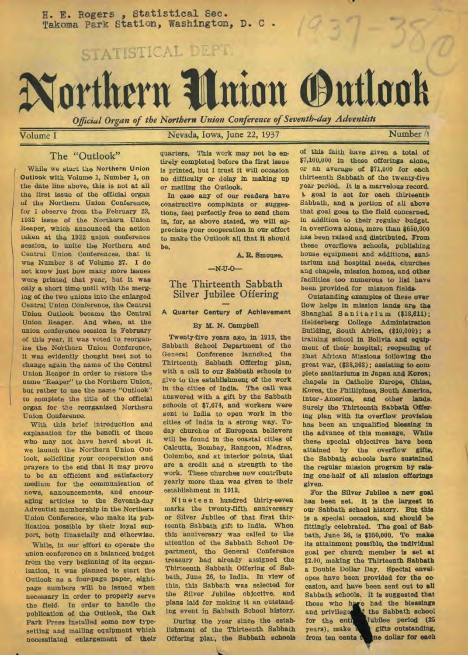H. E. Rogers, Statistical Sec. Takoma Park Station, Washington, D. C .

STATISTICAL DEFT.

# **Northern Union (Oudot**

*Official Organ of the Northern Union Conference of Seventh-day Adventists* 

Volume I Nevada, Iowa, June 22, 1937 Number is

## The "Outlook"

While we start the Northern Union Outlook with Volume 1, Number 1, on the date line above, this is not at all the first issue of the official organ of the Northern Union Conference, for I observe from the February 23, 1932 issue of *the* Northern Union Reaper, which announced the action taken at the 1932 union conference session, to unite the Northern and Central Union Conferences, that it was Number 8 of Volume 27. I do not know just how many more issues were printed that year, but it was only a short time until with the merging of the two unions into the enlarged Central Union Conference, the Central Union Outlook became the Central Union Reaper. And when, at the union conference session in February of this year, it was voted to reorganize the Northern Union Conference, it was evidently thought best not to change again the name of the Central Union Reaper in order to restore the name "Reaper" to the Northern Union, but rather to use the name "Outlook" to complete the title of the official organ for the reorganized Northern Union Conference.

With this brief introduction and explanation for the benefit of those who may not have heard about it. we launch the Northern Union Outlook, soliciting your cooperation and prayers to the end that it may prove to be an efficient and satisfactory medium for the communication of news, announcements, and encouraging articles to the Seventh-day Adventist membership in the Northern Union Conference, who make its publication possible by their loyal support, both financially and otherwise.

While, in our effort to operate the union conference on a balanced budget from the very beginning of its organization, it was planned to start the Outlook as a four-page paper, eightpage numbers will be issued when necessary in order to properly serve the field. In order to handle the publication of the Outlook, the Oak Park Press installed some new typesetting and mailing equipment which necessitated enlargement of their

quarters. This work may not *be* entirely completed before the first issue is printed, but I trust it will occasion no difficulty or delay in making up or mailing the Outlook.

In case any of our readers have constructive complaints or suggestions, feel perfectly free to send them in, for, as above stated, we will appreciate your cooperation in our effort to make the Outlook all that it should be.

A. R. Smouse.

## —N-U-0—

## The Thirteenth Sabbath Silver Jubilee Offering

## A Quarter Century of Achievement

#### By M. N. Campbell

Twenty-five years ago, in 1912, the Sabbath School Department of the<br>General Conference launched the Conference launched the Thirteenth Sabbath Offering plan, with a call to our Sabbath schools to give to the establishment of the work in the cities of India. The call was answered with a gift by the Sabbath schools of \$7,674, and workers were sent to India to open work in the cities of India in a strong way. Today churches of European believers will be found in the coastal cities of Calcutta, Bombay, Rangoon, Madras, Columbo, and at interior points, that are a credit and a strength to the work. These churches now contribute yearly more than was given to their establishment in 1912.

Nineteen hundred thirty-seven marks the twenty-fifth anniversary or Silver Jubilee of that first thirteenth Sabbath gift to India. When this anniversary was called to the attention of the Sabbath School Department, the General Conference treasury had already assigned the Thirteenth Sabbath Offering of Sabbath, June 26, to India. In view of this, this Sabbath was selected for the Silver Jubilee objective, and plans laid for making it an outstanding event in Sabbath School history.

During the year since the establishment of the Thirteenth Sabbath Offering plat, the Sabbath schools

of this faith have given a total of \$7,100,000 in these offerings alone, or an average of \$71,000 for each thirteenth Sabbath of the twenty-five year period. It is a marvelous record. A goal is set for each thirteenth Sabbath, and a portion of all above that goal goes to the field concerned, in addition to their regular budget In overflows alone, more than \$650,000 *has* been raised and distributed. From these overflows schools, publishing house equipment and additions, sanitarium and hospital needs, churches and chapels, mission homes, and other facilities too numerous to list *have*  been provided for mission fields-

Outstanding examples of these over flow helps in mission lands are the Shanghai Sanitarium (\$18,611); Helderberg College Administration Building, South Africa, (\$10,000); a training school in Bolivia and equipment of their hospital; reopening of East African Missions following the great war, (\$38,363); assisting to complete sanitariums in Japan and Korea; chapels in Catholic Europe, China, Korea, the Phillipines, South America, Inter - America, and other lands. Surely the Thirteenth Sabbath Offering plan with its overflow provision has been an unqualified blessing in the advance of this message. While these special objectives have been attained by the overflow gifts, the Sabbath schools have sustained the regular mission program by raising one-half of all mission offerings given-

For the Silver Jubilee a new goal has been set. It is the largest in our Sabbath school history. But this is a special occasion, and should be fittingly celebrated. The goal of *Sabbath,* June 26, is \$150,000. To *make*  its attainment possible, the individual goal per church member is set at \$2.00, making the Thirteenth Sabbath a Double Dollar Day. Special envoi. opes have been provided for the occasion, and have been sent out to all Sabbath schools. It is suggested that those who have had the blessings If the Sabbath school for the entity Tubilee period (25 years), make a glits outstanding, gifts outstanding,<br>ne dollar for each from ten cents t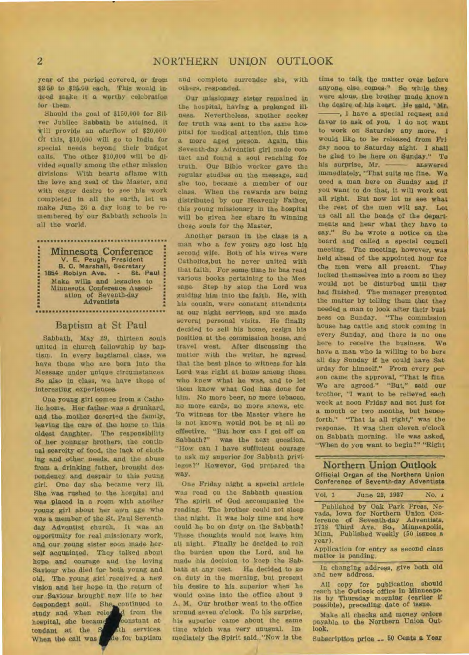year of the period covered, or from \$2.50 to \$25.00 each. This would indeed make it a worthy celebration for them.

Should the goal of \$150,000 for Silver Jubilee Sabbath be attained, it till provide an oferflow of \$20,000 Cif this, \$10,000 will go to India for special needs beyond their budget calls. The other \$10,000 will be divided equally among the other mission divisions. With hearts aflame with the love and zeal of the Master, and with eager desire to see his work completed in all the earth, let us make June 26 a day long to be remembered by our Sabbath schools in all the world.

Minnesota Conference V. E. Peugh, President B. C. Marshall, Secretary 1854 Roblyn Ave. - St. Paul Make wills and legacies to Minnesota Conference Association of Seventh-day Adventists ............................

## Baptism at St Paul

Sabbath, May 29, thirteen souls united in church fellowship by baptism. In every baptismal class, we have those who are born Into the Message under unique circumstances So also In class, we have those of interesting experiences.

One young girl comes from a Catho• lic home. Her father was a drunkard, and the mother deserted the family, leaving the care of the home to this oldest daughter. The responsibility of her younger brothers, the continual scarcity of food, the lack of clothing and other needs, and the abuse from a drinking father, brought despondency and despair to this young girl. One day she became very ill. She was rushed to the hospital and was placed in a room with another young girl about her own age who was a member of the St. Paul Seventhday Adventist church. It was an opportunity for real missionary work, and our young sister soon made herself acquainted. They talked about hope and courage and the loving Saviour who died for both young and old. The young girl received a new vision and her hope in the return of our Saviour brought new life to her despondent soul. She continued to study and when released trom the hospital, she became constant at tendant at the Stath services. When the call was de for haptism

and complete surrender she, with others, responded.

Our missionary sister remained in the huspital, having a prolonged illness. Nevertheless, another seeker for truth was sent to the same hospital for medical attention, this time a more aged person. Again, this Seventh-day Adventist girl made con tact and found a soul reaching for truth. Our Bible worker gave the regular studies on the message, and she too, became a member of our class. When the rewards are being distributed by our Heavenly Father, this young missionary in the hospital will be given her share in winning these souls for the Master.

Another person in the class is a man who a few years ago lost his second wife. Both of his wives were Catholics,but he never united with that faith. For some time he has read various hooks pertaining to the Mee sage. Step by step the Lord was guiding him into the faith. He, with his cousin, were constant attendants at our night services, and we made several personal visits. He finally decided to sell his home, resign his position at the commission house, and travel west. After discussing the matter with the writer, he agreed that the best place to witness for his Lord was right at home among those who knew what he was, and to let them know what God has done far him. No more beer, no more tobacco, no more cards, no more snows, etc To witness for the Master where he is not known would not be at all so effective. "But how can I get off on Sabbath?" was the next question. "How can I have sufficient courage to ask my superior for Sabbath privileges?" However, God prepared the way.

One Friday night a special article was read on the Sabbath question The spirit of God accompanied the reading. The brother could not sleep that night. It was holy time and how could he be on duty on the Sabbath? These thoughts would not leave him all night. Finally he decided to roll the burden upon the Lord, and he made his decision to keep the Sabbath at any cost. He decided to go on duty in the morning, but present his desire to his, superior when he would come into the office about 9 A. M. Our brother went to the office around seven o'clock. To his surprise, his superior came about the same time which was very unusual. Immediately the Spirit said, "Now is the

time to talk the matter over before anyone else comes." So while they were alone, the brother made known the desire of his heart. He said, "Mr,  $\longrightarrow$ , I have a special request and favor to ask of you. I do not want to work on Saturday any more. I would like to be released from Fri day noon to Saturday night. I shall be glad to be here on Sunday." To his surprise, Mr. - answered immediately, "That suits me fine. We need a, man here on Sunday and it you want to do that, It will work out all right. But now let us see what the rest of the men will say. Let us call all the heads of the departments and hear what they have to say." So he wrote a notice on the board and called a special council meeting. The meeting, however, was held ahead of the appointed hour for the men were all present. They locked themselves into a room so they would not be disturbed until they had finished. The manager presented the matter by telling them that they needed a man to look after their bust ness on Sunday. "The commission house has cattle and stock coming in every Sunday, and there is no one here to receive the business. We have a man who is willing to be here all day Sunday if he could have Saturday for himself." From every pen son came the approval, "That *is* fine We are agreed." "But," said our brother, "I want to be relieved each week at noon Friday and not just for a month or two months, but henceforth." "That is all right," was the response. It was then eleven o'clock on Sabbath morning. He *was* asked, "When do you want to begin?" "Right

## Northern Union Outlook Official Organ of the Northern Union Conference of Seventh-day Adventists

| Vol. 1 | June 22, 1937 |  | No. $\pm$ |
|--------|---------------|--|-----------|

Published by Oak Park Press, Nevada, Iowa for Northern Union Conference of Seventh-day Adventists, 2718 Third Ave. So-, Minneapolis, Minn. Published weekly (50 issues a year).

Application for entry as second class matter is pending.

In changing address, give both old and new address.

All copy for publication should reach the Outlook office in Minneapolis by Thursday morning (earlier if possible), preceding date of issue.

Make all checks and money orders payable to the Northern Union Outlook.

Subscription price -- 50 Cents *a* Year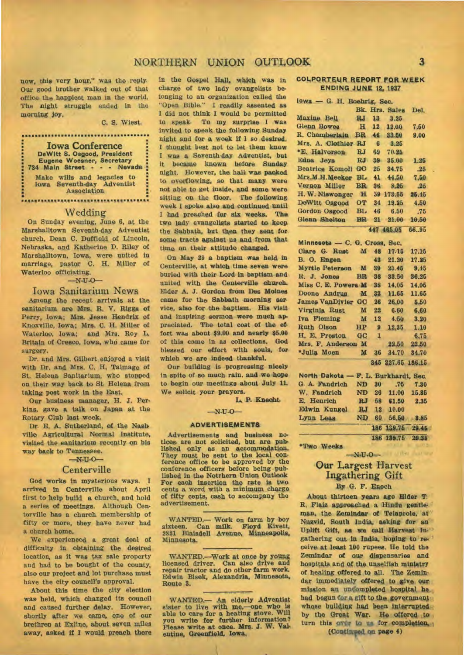## NORTHERN UNION OUTLOOK 3

now, this very hour," was the reply Our good brother walked out of that office the happiest man in the world. The night struggle ended in the morning joy.

C. S. Wiest.

Iowa Conference DeWitt S. Osgood, President Eugene Woesner, Secretary 734 Main Street - - - Nevada Make wills and legacies to Iowa Seventh-day Adventist Association .....................................

## Wedding

On Sunday evening, June 6, at the Marshalltown Seventh-day Adventist church, Dean C. Duffield of Lincoln, Nebraska, and Katherine D. Riley of Marshalltown, Iowa, were united in marriage, pastor C. H. Miller of Waterloo officiating.

### $-N-U-O-$

### Iowa Sanitarium News

Among the recent arrivals at the sanitarium are Mrs. R. V. Riggs of Perry, Iowa; Mrs. Jesse Hendrix of Knoxville, Iowa; Mrs. C. H. Miller of Waterloo, Iowa; and Mrs. Roy L Britain of Cresco, Iowa, who came for surgery.

Dr. and Mrs. Gilbert enjoyed a visit with Dr. and Mrs. C. H. Talmage of St. Helena Sanitarium, who stopped on their way back to St. Helena from taking post work in the East.

Our business manager, H. J. Perkins, gave a talk on Japan at the Rotary Club last week.

Dr. E. A. Sutherland, of the Nasb ville Agricultural Normal Institute, visited the sanitarium recently on his way back to Tennessee.

 $-N-U-O-$ 

## **Centerville**

God works in mysterious ways. arrived in Centerville about April first to help build a church, and hold a series of meetings. Although Centerville has a church membership of fifty or more, they have never had a church home.

We experienced a great deal of difficulty in obtaining the desired location, as it was tax sale property and had to be bought of the county, also our project and lot purchase must have the city council's approval.

About this time the city election was held, which changed its council and caused further delay. However, shortly after we came, one of our brethren at Exline, about seven miles away, asked if I would preach there in the Gospel Hall, which was in charge of two lady evangelists belonging to an organization called the "Open Bible." I readily assented as I did not think I would be permitted to speak. To my surprise I was invited to speak the following Sunday night and for a week II 1 so desired. I thought best not to let them know I was a Seventh-day Adventist, but it became known before Sunday night. However, the hall was packed to overflowing, so that many were not able to get inside, and some were sitting on the floor. The following week I spoke also and continued until I had preached for six weeks. The two lady evangelists started to keep the Sabbath, but then they sent for some tracts against us and from that time on their attitude changed.

On May 29 a baptism *was* held in Centerville, at which time seven were buried with their Lord in baptism and united with the Centerville church. Elder A. J. Gordon from Des Moines came for the Sabbath morning aer vice, also for the baptism. His visit and inspiring sermon were much appreciated. The total cost of the effort was about \$9.00 and nearly \$5.00 of this came in as collections. God blessed our effort with souls, for which we are indeed thankful.

Our building is progressing nicely in spite of so much rain. and we hope to begin our meetings about July 1L We solicit your prayers.

L. P. Knecht

#### $-N-U-O-$

#### ADVERTISEMENTS

Advertisements and business notices are not solicited, but are published only as an accommodation. They must be sent to the local conference office to be approved by the conference officers before being published in the Notrhern Union Outlook For each insertion the rate is two cents a word with a minimum charge of fifty cents, cash to accompany the advertisement.

WANTED.- Work on farm by boy sixteen. Can milk. Floyd Kivett, 2821 Blaisdell Avenue, Minneapolis, Minnesota.

WANTED.-Work at once by young licensed driver. Can also drive and repair tractor and do other farm work. Edwin Bisek, Alexandria, Minnesota, Route 3.

WANTED.- An elderly Adventist<br>sister to live with me,-one who is<br>able to care for a heating stove. Will<br>you write for further information?<br>Please write at once. Mrs. J. W. Valentine, Greenfield, Iowa.

## **COLPORTEUR REPORT FOR WEEK ENDING JUNE** 12, 1937

| lowa - G. H. Boehrig, Sec.           |             |                 |                   |            |  |  |
|--------------------------------------|-------------|-----------------|-------------------|------------|--|--|
|                                      | Bk.         |                 | Hrs. Sales        | Del.       |  |  |
| Maxine Bell                          | <b>RJ</b>   | 13              | 3.25              |            |  |  |
| <b>Glenn Bowes</b>                   | H           | 12              | 12.00             | 7.50       |  |  |
| R. Chamberlain                       | <b>BR</b>   | 46              | 33.50             | 9.00       |  |  |
| Mrs. A. Clothier                     | <b>RJ</b>   | 6               | 3.25              |            |  |  |
| *E. Halvorson                        | <b>RJ</b>   | 69              | 70.25             |            |  |  |
| Edna Jeys                            | RJ          | 39              | 35.00             | 1.25       |  |  |
| <b>Beatrice Komoll</b>               | $rac{1}{2}$ | 25              | 34.75             | .25        |  |  |
| Mrs.M.H.Meeker                       | <b>BL</b>   | 41              | 44.50             | 7.50       |  |  |
| Vernon Miller                        | <b>BR</b>   | 36              | 8.25              | .25        |  |  |
| H. W. Niswonger                      | H           |                 | 59 173.55         | 25.45      |  |  |
| DeWitt Osgood                        | <b>OT</b>   | 34              | 19.25             | 4.50       |  |  |
| <b>Gordon Osgood</b>                 | <b>BL</b>   | 46              | 6.50              | .75        |  |  |
| <b>Glenn Shelton</b>                 | <b>BR</b>   | 21              | 21.00             | 10,50      |  |  |
|                                      |             |                 | 447 465.05        | 66.95      |  |  |
|                                      |             |                 |                   |            |  |  |
| Minnesota - C. G. Cross, Sec.        |             |                 |                   |            |  |  |
| Clare G. Rust                        | M           | 48              | 17.15             | 17.16      |  |  |
| B. O. Engen                          |             | 43              | 21.20             | 17.25      |  |  |
| <b>Myrtle Peterson</b>               | M           | 39              | 23.45             | 9.45       |  |  |
| R. J. Jones                          | <b>BR</b>   | 38              | 33.50             | 36.26      |  |  |
| Miss C. E. Powers M.                 |             | 38              | 14.05             | 14.05      |  |  |
| Doone Andrus                         | M           | 33 <sup>°</sup> | 11.65             | 11.65      |  |  |
| <b>James VanDivier</b>               | $G$ $C$     | 26 <sup>°</sup> | 26.00             | 5.50       |  |  |
| Virginia Rust                        | M           | 22              | 6.60              | 6.60       |  |  |
| Iva Fleming                          | M           | 12              | 4.50              | 3.20       |  |  |
| Ruth Olson                           | HP          | $\mathbf{9}$    | 12.35             | 1.10       |  |  |
| H. E. Preston                        | GC          | 1               |                   | 6.75       |  |  |
| Mrs. F. Anderson M                   |             |                 | 22.50             | 22.50      |  |  |
| *Julia Moen                          | M           | 36              | 34.70             | 34.70      |  |  |
|                                      |             |                 | 345 227.65 186.15 |            |  |  |
| North Dakota - F. L. Burkhardt, Sec. |             |                 |                   |            |  |  |
| G. A. Fandrich                       | <b>ND</b>   | 30 <sup>°</sup> | .75               | 7.30       |  |  |
| W. Fandrich                          | <b>ND</b>   | 26              | 11.00             | 15.85      |  |  |
| E. Henrich                           |             | RJ 58           | 61.50             | 2.35       |  |  |
| <b>Edwin Kungel</b>                  | RJ          | 12 <sub>1</sub> | 10.00             |            |  |  |
| Lynn Leas                            | <b>ND</b>   | 60              |                   | 56,50 8.85 |  |  |
|                                      |             |                 | 186 139.75        | 29.46      |  |  |
|                                      |             |                 | 186 139.75        | 29.35      |  |  |

\*Two Weeks

# **Our** Largest Harvest Ingathering Gift

 $-N<sub>1</sub>U<sub>1</sub>O$ 

## **By** G. F. Enoch

About thirteen years ago Elder T. R. Flaiz approached a Hindu gentleman, the Zemindar of Telaprole, at Nuzvid, South India, asking for an Uplift Gift, as we call Harvest In. gathering out in India, hoping to receive at least 100 rupees. He told the Zemindar of our dispensaries and hospitals and of the unselfish ministry of healing offered to all. The Zemindar immediately offered to give our mission an uncompleted hospital he had begun for a gift to the government whose building had been interrupted by the Great War. **He** offered to turn this over to **wa** for completion,

**(Coutiafed on page** 4)